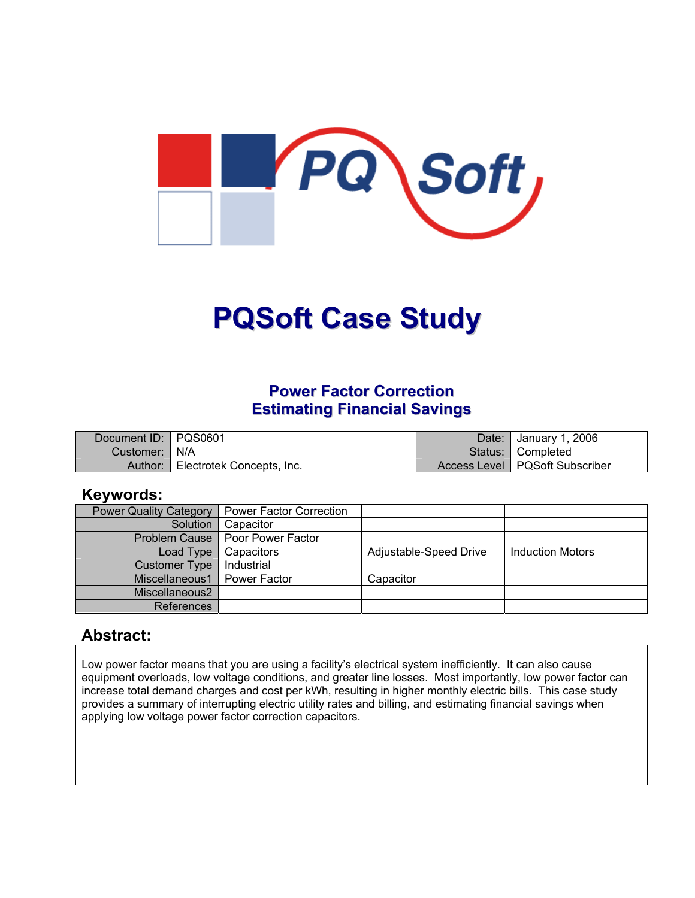

# **PQSoft Case Study**

# **Power Factor Correction Estimating Financial Savings**

| Document ID: PQS0601 |                           | Date:   | January 1, 2006                  |
|----------------------|---------------------------|---------|----------------------------------|
| Customer:   N/A      |                           | Status: | ¶ Completed                      |
| Author:              | Electrotek Concepts, Inc. |         | Access Level   PQSoft Subscriber |

### **Keywords:**

| <b>Power Quality Category</b> | <b>Power Factor Correction</b>    |                        |                         |
|-------------------------------|-----------------------------------|------------------------|-------------------------|
| Solution                      | Capacitor                         |                        |                         |
|                               | Problem Cause   Poor Power Factor |                        |                         |
| Load Type                     | Capacitors                        | Adjustable-Speed Drive | <b>Induction Motors</b> |
| <b>Customer Type</b>          | Industrial                        |                        |                         |
| Miscellaneous1                | Power Factor                      | Capacitor              |                         |
| Miscellaneous2                |                                   |                        |                         |
| References                    |                                   |                        |                         |

## **Abstract:**

Low power factor means that you are using a facility's electrical system inefficiently. It can also cause equipment overloads, low voltage conditions, and greater line losses. Most importantly, low power factor can increase total demand charges and cost per kWh, resulting in higher monthly electric bills. This case study provides a summary of interrupting electric utility rates and billing, and estimating financial savings when applying low voltage power factor correction capacitors.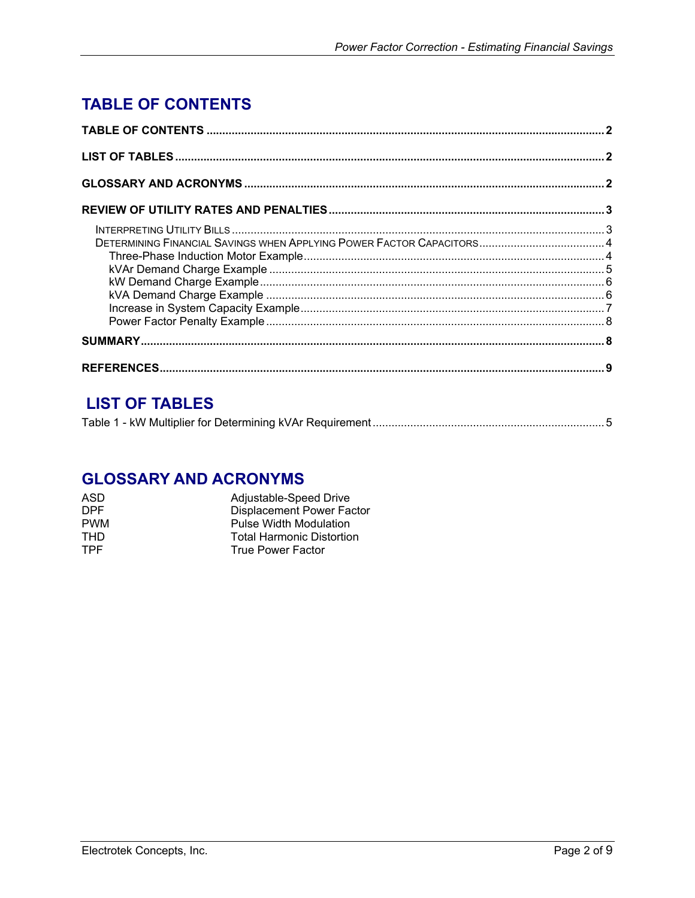# <span id="page-1-0"></span>**TABLE OF CONTENTS**

# **LIST OF TABLES**

|--|--|--|--|

## **GLOSSARY AND ACRONYMS**

| ASD        | Adjustable-Speed Drive           |
|------------|----------------------------------|
| DPF.       | <b>Displacement Power Factor</b> |
| <b>PWM</b> | Pulse Width Modulation           |
| THD.       | <b>Total Harmonic Distortion</b> |
| <b>TPF</b> | <b>True Power Factor</b>         |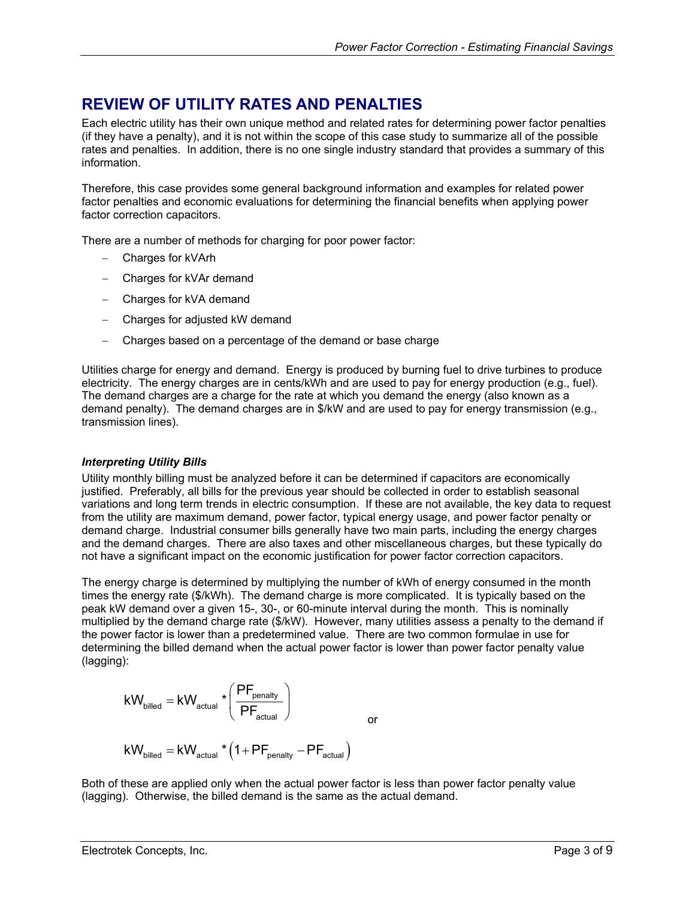# <span id="page-2-0"></span>**REVIEW OF UTILITY RATES AND PENALTIES**

Each electric utility has their own unique method and related rates for determining power factor penalties (if they have a penalty), and it is not within the scope of this case study to summarize all of the possible rates and penalties. In addition, there is no one single industry standard that provides a summary of this information.

Therefore, this case provides some general background information and examples for related power factor penalties and economic evaluations for determining the financial benefits when applying power factor correction capacitors.

There are a number of methods for charging for poor power factor:

- − Charges for kVArh
- − Charges for kVAr demand
- − Charges for kVA demand
- − Charges for adjusted kW demand
- − Charges based on a percentage of the demand or base charge

Utilities charge for energy and demand. Energy is produced by burning fuel to drive turbines to produce electricity. The energy charges are in cents/kWh and are used to pay for energy production (e.g., fuel). The demand charges are a charge for the rate at which you demand the energy (also known as a demand penalty). The demand charges are in \$/kW and are used to pay for energy transmission (e.g., transmission lines).

#### *Interpreting Utility Bills*

Utility monthly billing must be analyzed before it can be determined if capacitors are economically justified. Preferably, all bills for the previous year should be collected in order to establish seasonal variations and long term trends in electric consumption. If these are not available, the key data to request from the utility are maximum demand, power factor, typical energy usage, and power factor penalty or demand charge. Industrial consumer bills generally have two main parts, including the energy charges and the demand charges. There are also taxes and other miscellaneous charges, but these typically do not have a significant impact on the economic justification for power factor correction capacitors.

The energy charge is determined by multiplying the number of kWh of energy consumed in the month times the energy rate (\$/kWh). The demand charge is more complicated. It is typically based on the peak kW demand over a given 15-, 30-, or 60-minute interval during the month. This is nominally multiplied by the demand charge rate (\$/kW). However, many utilities assess a penalty to the demand if the power factor is lower than a predetermined value. There are two common formulae in use for determining the billed demand when the actual power factor is lower than power factor penalty value (lagging):

$$
kW_{\text{billed}} = kW_{\text{actual}} \cdot \left(\frac{PF_{\text{penalty}}}{PF_{\text{actual}}}\right)_{\text{or}}
$$
  

$$
kW_{\text{billed}} = kW_{\text{actual}} \cdot \left(1 + PF_{\text{penalty}} - PF_{\text{actual}}\right)
$$

Both of these are applied only when the actual power factor is less than power factor penalty value (lagging). Otherwise, the billed demand is the same as the actual demand.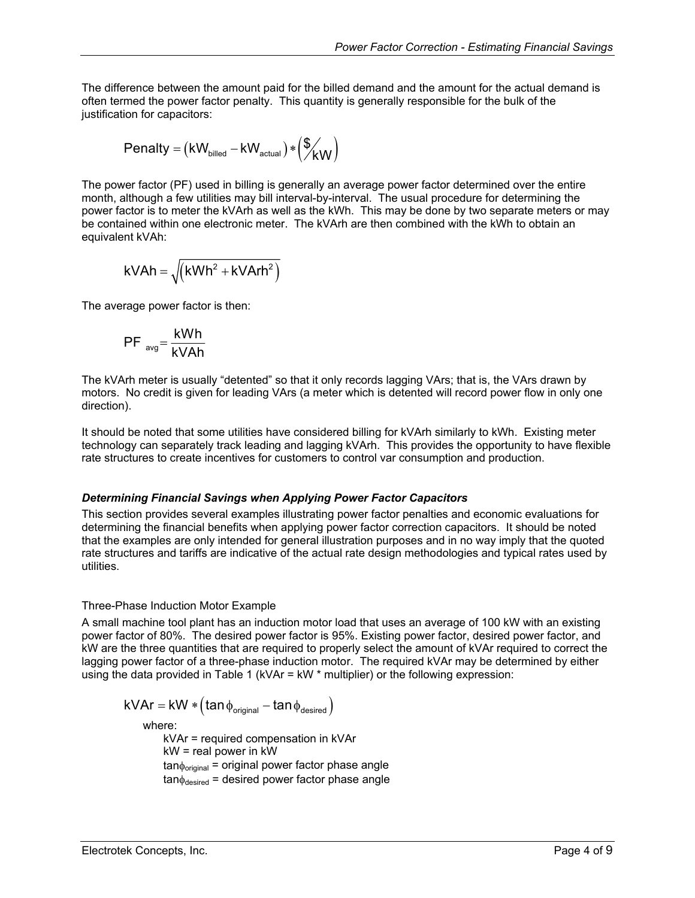<span id="page-3-0"></span>The difference between the amount paid for the billed demand and the amount for the actual demand is often termed the power factor penalty. This quantity is generally responsible for the bulk of the justification for capacitors:

$$
Penalty = (kW_{\text{billed}} - kW_{\text{actual}}) * (\frac{\text{C}}{kW})
$$

The power factor (PF) used in billing is generally an average power factor determined over the entire month, although a few utilities may bill interval-by-interval. The usual procedure for determining the power factor is to meter the kVArh as well as the kWh. This may be done by two separate meters or may be contained within one electronic meter. The kVArh are then combined with the kWh to obtain an equivalent kVAh:

$$
kVAh = \sqrt{\left(kWh^2 + kVArh^2\right)}
$$

The average power factor is then:

$$
PF_{avg} = \frac{kWh}{kVAh}
$$

The kVArh meter is usually "detented" so that it only records lagging VArs; that is, the VArs drawn by motors. No credit is given for leading VArs (a meter which is detented will record power flow in only one direction).

It should be noted that some utilities have considered billing for kVArh similarly to kWh. Existing meter technology can separately track leading and lagging kVArh. This provides the opportunity to have flexible rate structures to create incentives for customers to control var consumption and production.

#### *Determining Financial Savings when Applying Power Factor Capacitors*

This section provides several examples illustrating power factor penalties and economic evaluations for determining the financial benefits when applying power factor correction capacitors. It should be noted that the examples are only intended for general illustration purposes and in no way imply that the quoted rate structures and tariffs are indicative of the actual rate design methodologies and typical rates used by utilities.

#### Three-Phase Induction Motor Example

A small machine tool plant has an induction motor load that uses an average of 100 kW with an existing power factor of 80%. The desired power factor is 95%. Existing power factor, desired power factor, and kW are the three quantities that are required to properly select the amount of kVAr required to correct the lagging power factor of a three-phase induction motor. The required kVAr may be determined by either using the data provided in Table 1 (kVAr = kW \* multiplier) or the following expression:

$$
kVAr = kW * (tan \phi_{original} - tan \phi_{desired})
$$

where:

kVAr = required compensation in kVAr kW = real power in kW  $tan \phi_{original}$  = original power factor phase angle  $tan \phi_{desired}$  = desired power factor phase angle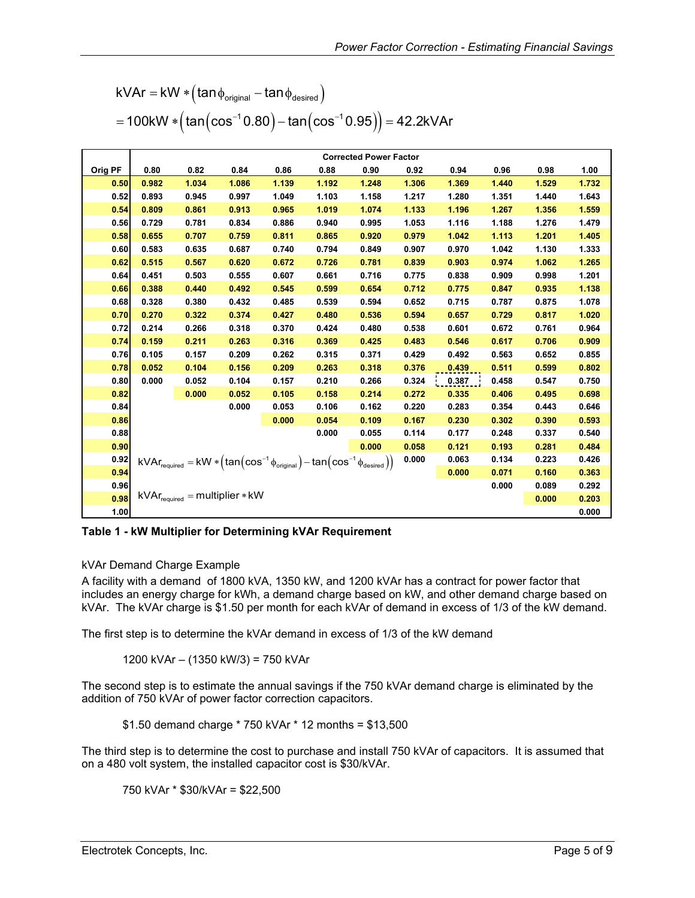<span id="page-4-0"></span>

| $kVAr = kW * (tan \phi_{original} - tan \phi_{desired})$ |  |  |                                                                        |
|----------------------------------------------------------|--|--|------------------------------------------------------------------------|
|                                                          |  |  | $=100$ kW $*(\tan(\cos^{-1} 0.80) - \tan(\cos^{-1} 0.95)) = 42.2$ kVAr |

|         |       |       |                                            |       |                                                                                                                                                                                                   | <b>Corrected Power Factor</b> |       |       |       |       |       |
|---------|-------|-------|--------------------------------------------|-------|---------------------------------------------------------------------------------------------------------------------------------------------------------------------------------------------------|-------------------------------|-------|-------|-------|-------|-------|
| Orig PF | 0.80  | 0.82  | 0.84                                       | 0.86  | 0.88                                                                                                                                                                                              | 0.90                          | 0.92  | 0.94  | 0.96  | 0.98  | 1.00  |
| 0.50    | 0.982 | 1.034 | 1.086                                      | 1.139 | 1.192                                                                                                                                                                                             | 1.248                         | 1.306 | 1.369 | 1.440 | 1.529 | 1.732 |
| 0.52    | 0.893 | 0.945 | 0.997                                      | 1.049 | 1.103                                                                                                                                                                                             | 1.158                         | 1.217 | 1.280 | 1.351 | 1.440 | 1.643 |
| 0.54    | 0.809 | 0.861 | 0.913                                      | 0.965 | 1.019                                                                                                                                                                                             | 1.074                         | 1.133 | 1.196 | 1.267 | 1.356 | 1.559 |
| 0.56    | 0.729 | 0.781 | 0.834                                      | 0.886 | 0.940                                                                                                                                                                                             | 0.995                         | 1.053 | 1.116 | 1.188 | 1.276 | 1.479 |
| 0.58    | 0.655 | 0.707 | 0.759                                      | 0.811 | 0.865                                                                                                                                                                                             | 0.920                         | 0.979 | 1.042 | 1.113 | 1.201 | 1.405 |
| 0.60    | 0.583 | 0.635 | 0.687                                      | 0.740 | 0.794                                                                                                                                                                                             | 0.849                         | 0.907 | 0.970 | 1.042 | 1.130 | 1.333 |
| 0.62    | 0.515 | 0.567 | 0.620                                      | 0.672 | 0.726                                                                                                                                                                                             | 0.781                         | 0.839 | 0.903 | 0.974 | 1.062 | 1.265 |
| 0.64    | 0.451 | 0.503 | 0.555                                      | 0.607 | 0.661                                                                                                                                                                                             | 0.716                         | 0.775 | 0.838 | 0.909 | 0.998 | 1.201 |
| 0.66    | 0.388 | 0.440 | 0.492                                      | 0.545 | 0.599                                                                                                                                                                                             | 0.654                         | 0.712 | 0.775 | 0.847 | 0.935 | 1.138 |
| 0.68    | 0.328 | 0.380 | 0.432                                      | 0.485 | 0.539                                                                                                                                                                                             | 0.594                         | 0.652 | 0.715 | 0.787 | 0.875 | 1.078 |
| 0.70    | 0.270 | 0.322 | 0.374                                      | 0.427 | 0.480                                                                                                                                                                                             | 0.536                         | 0.594 | 0.657 | 0.729 | 0.817 | 1.020 |
| 0.72    | 0.214 | 0.266 | 0.318                                      | 0.370 | 0.424                                                                                                                                                                                             | 0.480                         | 0.538 | 0.601 | 0.672 | 0.761 | 0.964 |
| 0.74    | 0.159 | 0.211 | 0.263                                      | 0.316 | 0.369                                                                                                                                                                                             | 0.425                         | 0.483 | 0.546 | 0.617 | 0.706 | 0.909 |
| 0.76    | 0.105 | 0.157 | 0.209                                      | 0.262 | 0.315                                                                                                                                                                                             | 0.371                         | 0.429 | 0.492 | 0.563 | 0.652 | 0.855 |
| 0.78    | 0.052 | 0.104 | 0.156                                      | 0.209 | 0.263                                                                                                                                                                                             | 0.318                         | 0.376 | 0.439 | 0.511 | 0.599 | 0.802 |
| 0.80    | 0.000 | 0.052 | 0.104                                      | 0.157 | 0.210                                                                                                                                                                                             | 0.266                         | 0.324 | 0.387 | 0.458 | 0.547 | 0.750 |
| 0.82    |       | 0.000 | 0.052                                      | 0.105 | 0.158                                                                                                                                                                                             | 0.214                         | 0.272 | 0.335 | 0.406 | 0.495 | 0.698 |
| 0.84    |       |       | 0.000                                      | 0.053 | 0.106                                                                                                                                                                                             | 0.162                         | 0.220 | 0.283 | 0.354 | 0.443 | 0.646 |
| 0.86    |       |       |                                            | 0.000 | 0.054                                                                                                                                                                                             | 0.109                         | 0.167 | 0.230 | 0.302 | 0.390 | 0.593 |
| 0.88    |       |       |                                            |       | 0.000                                                                                                                                                                                             | 0.055                         | 0.114 | 0.177 | 0.248 | 0.337 | 0.540 |
| 0.90    |       |       |                                            |       |                                                                                                                                                                                                   | 0.000                         | 0.058 | 0.121 | 0.193 | 0.281 | 0.484 |
| 0.92    |       |       |                                            |       | $\mathsf{kVar}_\mathsf{required} = \mathsf{kW} * \left(\mathsf{tan}\left(\mathsf{cos}^{-1}\phi_\mathsf{original}\right) - \mathsf{tan}\left(\mathsf{cos}^{-1}\phi_\mathsf{desired}\right)\right)$ |                               | 0.000 | 0.063 | 0.134 | 0.223 | 0.426 |
| 0.94    |       |       |                                            |       |                                                                                                                                                                                                   |                               |       | 0.000 | 0.071 | 0.160 | 0.363 |
| 0.96    |       |       |                                            |       |                                                                                                                                                                                                   |                               |       |       | 0.000 | 0.089 | 0.292 |
| 0.98    |       |       | $kVAr_{required} = \text{multiplier} * kW$ |       |                                                                                                                                                                                                   |                               |       |       |       | 0.000 | 0.203 |
| 1.00    |       |       |                                            |       |                                                                                                                                                                                                   |                               |       |       |       |       | 0.000 |

**Table 1 - kW Multiplier for Determining kVAr Requirement** 

#### kVAr Demand Charge Example

A facility with a demand of 1800 kVA, 1350 kW, and 1200 kVAr has a contract for power factor that includes an energy charge for kWh, a demand charge based on kW, and other demand charge based on kVAr. The kVAr charge is \$1.50 per month for each kVAr of demand in excess of 1/3 of the kW demand.

The first step is to determine the kVAr demand in excess of 1/3 of the kW demand

1200 kVAr – (1350 kW/3) = 750 kVAr

The second step is to estimate the annual savings if the 750 kVAr demand charge is eliminated by the addition of 750 kVAr of power factor correction capacitors.

\$1.50 demand charge \* 750 kVAr \* 12 months = \$13,500

The third step is to determine the cost to purchase and install 750 kVAr of capacitors. It is assumed that on a 480 volt system, the installed capacitor cost is \$30/kVAr.

750 kVAr \* \$30/kVAr = \$22,500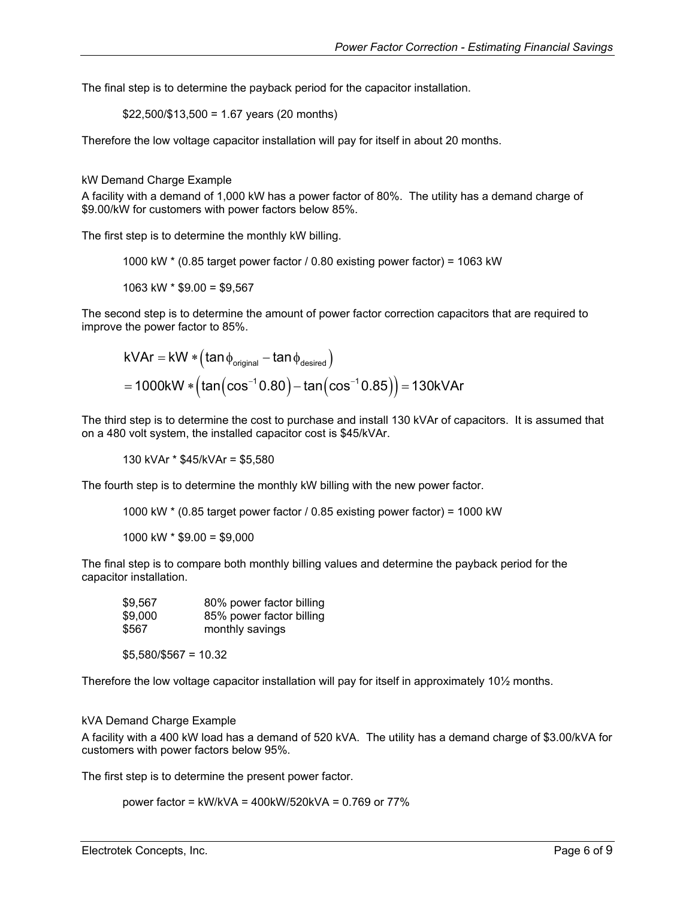<span id="page-5-0"></span>The final step is to determine the payback period for the capacitor installation.

$$
$22,500/\$13,500 = 1.67
$$
 years (20 months)

Therefore the low voltage capacitor installation will pay for itself in about 20 months.

#### kW Demand Charge Example

A facility with a demand of 1,000 kW has a power factor of 80%. The utility has a demand charge of \$9.00/kW for customers with power factors below 85%.

The first step is to determine the monthly kW billing.

1000 kW \* (0.85 target power factor / 0.80 existing power factor) = 1063 kW

1063 kW  $*$  \$9.00 = \$9,567

The second step is to determine the amount of power factor correction capacitors that are required to improve the power factor to 85%.

$$
kVAr = kW * (tan \phi_{original} - tan \phi_{desired})
$$
  
= 1000kW \* (tan(cos<sup>-1</sup> 0.80) - tan(cos<sup>-1</sup> 0.85)) = 130kVAr

The third step is to determine the cost to purchase and install 130 kVAr of capacitors. It is assumed that on a 480 volt system, the installed capacitor cost is \$45/kVAr.

130 kVAr \* \$45/kVAr = \$5,580

The fourth step is to determine the monthly kW billing with the new power factor.

1000 kW \* (0.85 target power factor / 0.85 existing power factor) = 1000 kW

1000 kW \* \$9.00 = \$9,000

The final step is to compare both monthly billing values and determine the payback period for the capacitor installation.

| \$9.567 | 80% power factor billing |
|---------|--------------------------|
| \$9,000 | 85% power factor billing |
| \$567   | monthly savings          |

\$5,580/\$567 = 10.32

Therefore the low voltage capacitor installation will pay for itself in approximately 10½ months.

#### kVA Demand Charge Example

A facility with a 400 kW load has a demand of 520 kVA. The utility has a demand charge of \$3.00/kVA for customers with power factors below 95%.

The first step is to determine the present power factor.

power factor = kW/kVA = 400kW/520kVA = 0.769 or 77%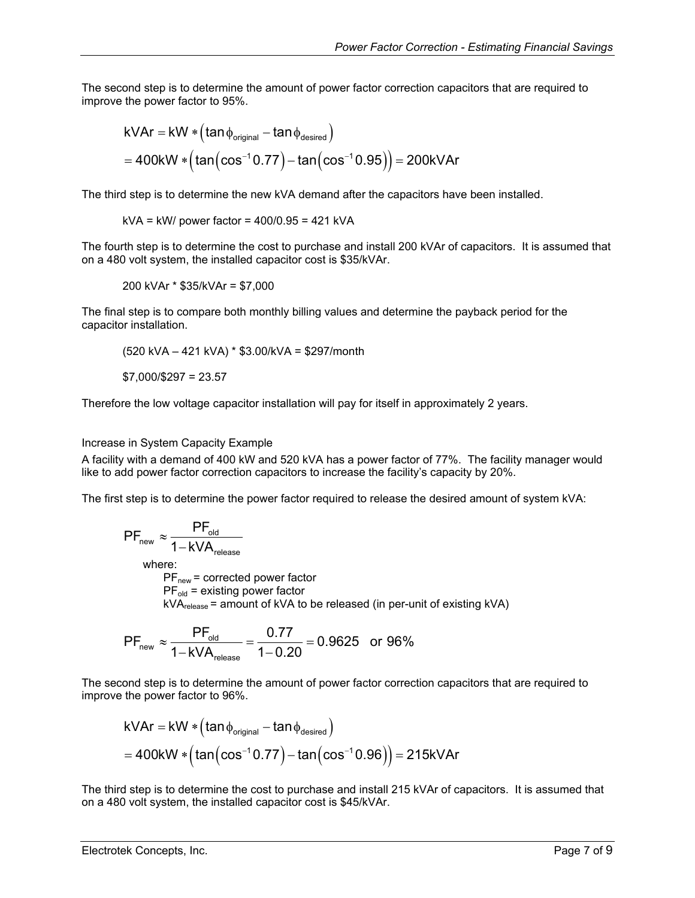<span id="page-6-0"></span>The second step is to determine the amount of power factor correction capacitors that are required to improve the power factor to 95%.

$$
kVar = kW * (tan \phi_{original} - tan \phi_{desired})
$$
  
= 400kW \* (tan(cos<sup>-1</sup> 0.77) - tan(cos<sup>-1</sup> 0.95)) = 200kVar

The third step is to determine the new kVA demand after the capacitors have been installed.

 $kVA = kW/power factor = 400/0.95 = 421 kVA$ 

The fourth step is to determine the cost to purchase and install 200 kVAr of capacitors. It is assumed that on a 480 volt system, the installed capacitor cost is \$35/kVAr.

$$
200 \text{ kVAr} \cdot $35/\text{kVAr} = $7,000
$$

The final step is to compare both monthly billing values and determine the payback period for the capacitor installation.

$$
(520 \text{ kVA} - 421 \text{ kVA}) * $3.00/\text{kVA} = $297/\text{month}
$$

 $$7.000$ /\$297 = 23.57

Therefore the low voltage capacitor installation will pay for itself in approximately 2 years.

Increase in System Capacity Example

A facility with a demand of 400 kW and 520 kVA has a power factor of 77%. The facility manager would like to add power factor correction capacitors to increase the facility's capacity by 20%.

The first step is to determine the power factor required to release the desired amount of system kVA:

$$
PF_{new} \approx \frac{PF_{old}}{1 - kVA_{release}}
$$
\nwhere:  
\n $PF_{new}$  = corrected power factor  
\n $PF_{old}$  = existing power factor  
\n $kVA_{release}$  = amount of kVA to be released (in per-unit of existing kVA)

$$
PF_{\text{new}} \approx \frac{PF_{\text{old}}}{1 - kVA_{\text{release}}} = \frac{0.77}{1 - 0.20} = 0.9625
$$
 or 96%

The second step is to determine the amount of power factor correction capacitors that are required to improve the power factor to 96%.

$$
kVar = kW * (tan \phi_{original} - tan \phi_{desired})
$$
  
= 400kW \* (tan(cos<sup>-1</sup>0.77) - tan(cos<sup>-1</sup>0.96)) = 215kVar

The third step is to determine the cost to purchase and install 215 kVAr of capacitors. It is assumed that on a 480 volt system, the installed capacitor cost is \$45/kVAr.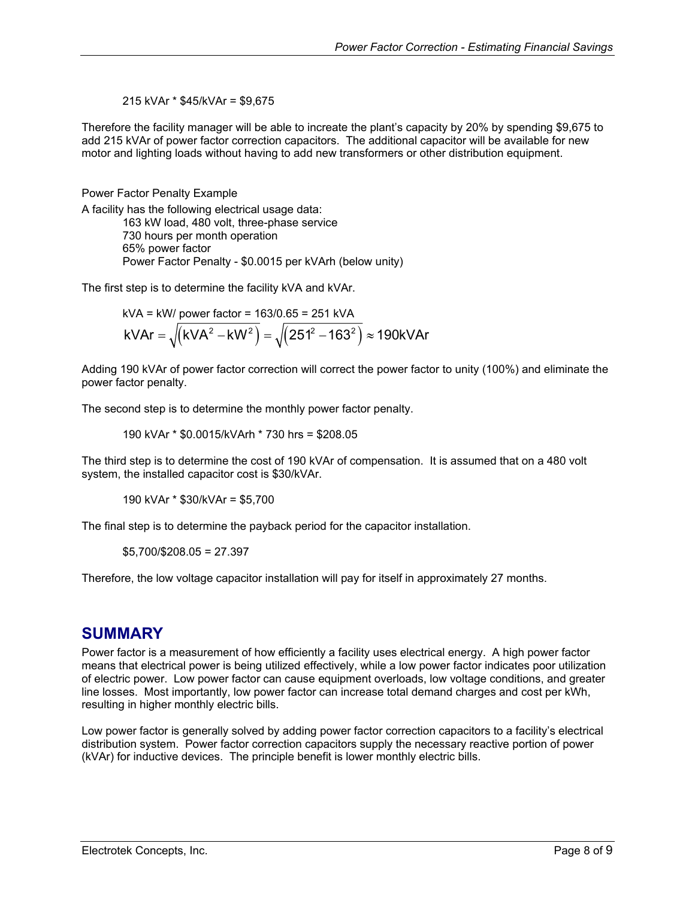215 kVAr \* \$45/kVAr = \$9,675

<span id="page-7-0"></span>Therefore the facility manager will be able to increate the plant's capacity by 20% by spending \$9,675 to add 215 kVAr of power factor correction capacitors. The additional capacitor will be available for new motor and lighting loads without having to add new transformers or other distribution equipment.

Power Factor Penalty Example

A facility has the following electrical usage data:

163 kW load, 480 volt, three-phase service 730 hours per month operation 65% power factor Power Factor Penalty - \$0.0015 per kVArh (below unity)

The first step is to determine the facility kVA and kVAr.

kVA = kW/  
power factor = 163/0.65 = 251 kVA  
kVAr = 
$$
\sqrt{(kVA^2 - kW^2)} = \sqrt{(251^2 - 163^2)} \approx 190kVAr
$$

Adding 190 kVAr of power factor correction will correct the power factor to unity (100%) and eliminate the power factor penalty.

The second step is to determine the monthly power factor penalty.

190 kVAr \* \$0.0015/kVArh \* 730 hrs = \$208.05

The third step is to determine the cost of 190 kVAr of compensation. It is assumed that on a 480 volt system, the installed capacitor cost is \$30/kVAr.

190 kVAr \* \$30/kVAr = \$5,700

The final step is to determine the payback period for the capacitor installation.

\$5,700/\$208.05 = 27.397

Therefore, the low voltage capacitor installation will pay for itself in approximately 27 months.

## **SUMMARY**

Power factor is a measurement of how efficiently a facility uses electrical energy. A high power factor means that electrical power is being utilized effectively, while a low power factor indicates poor utilization of electric power. Low power factor can cause equipment overloads, low voltage conditions, and greater line losses. Most importantly, low power factor can increase total demand charges and cost per kWh, resulting in higher monthly electric bills.

Low power factor is generally solved by adding power factor correction capacitors to a facility's electrical distribution system. Power factor correction capacitors supply the necessary reactive portion of power (kVAr) for inductive devices. The principle benefit is lower monthly electric bills.